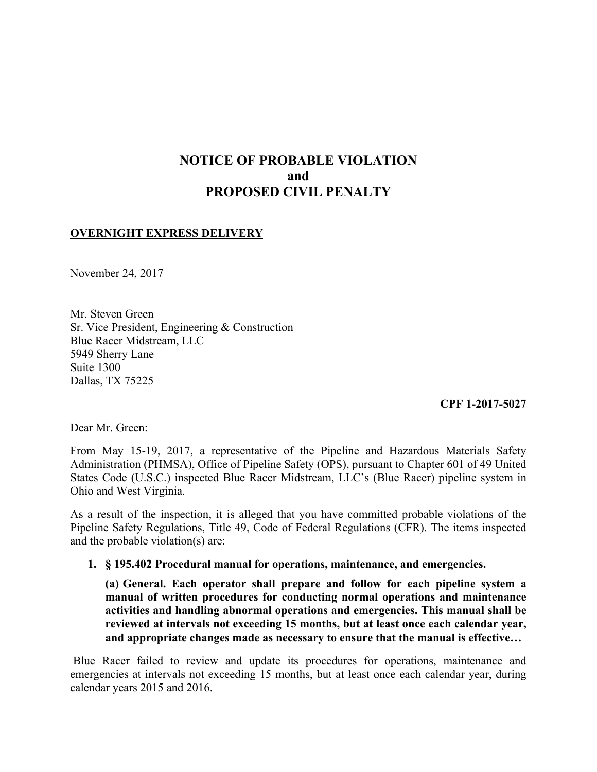# **NOTICE OF PROBABLE VIOLATION and PROPOSED CIVIL PENALTY**

## **OVERNIGHT EXPRESS DELIVERY**

November 24, 2017

Mr. Steven Green Sr. Vice President, Engineering & Construction Blue Racer Midstream, LLC 5949 Sherry Lane Suite 1300 Dallas, TX 75225

**CPF 1-2017-5027** 

Dear Mr. Green:

From May 15-19, 2017, a representative of the Pipeline and Hazardous Materials Safety Administration (PHMSA), Office of Pipeline Safety (OPS), pursuant to Chapter 601 of 49 United States Code (U.S.C.) inspected Blue Racer Midstream, LLC's (Blue Racer) pipeline system in Ohio and West Virginia.

As a result of the inspection, it is alleged that you have committed probable violations of the Pipeline Safety Regulations, Title 49, Code of Federal Regulations (CFR). The items inspected and the probable violation(s) are:

**1. § 195.402 Procedural manual for operations, maintenance, and emergencies.**

**(a) General. Each operator shall prepare and follow for each pipeline system a manual of written procedures for conducting normal operations and maintenance activities and handling abnormal operations and emergencies. This manual shall be reviewed at intervals not exceeding 15 months, but at least once each calendar year, and appropriate changes made as necessary to ensure that the manual is effective…** 

 emergencies at intervals not exceeding 15 months, but at least once each calendar year, during Blue Racer failed to review and update its procedures for operations, maintenance and calendar years 2015 and 2016.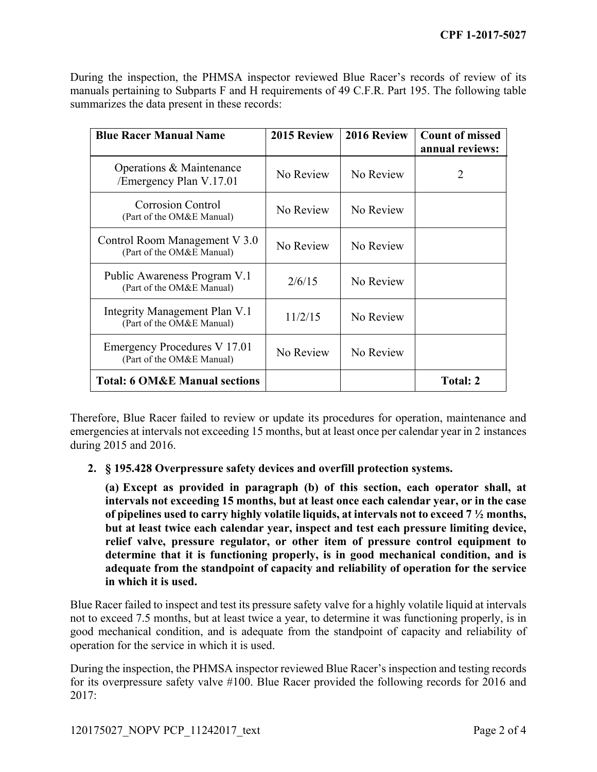During the inspection, the PHMSA inspector reviewed Blue Racer's records of review of its manuals pertaining to Subparts F and H requirements of 49 C.F.R. Part 195. The following table summarizes the data present in these records:

| <b>Blue Racer Manual Name</b>                              | 2015 Review | 2016 Review | <b>Count of missed</b><br>annual reviews: |
|------------------------------------------------------------|-------------|-------------|-------------------------------------------|
| Operations & Maintenance<br>/Emergency Plan V.17.01        | No Review   | No Review   | 2                                         |
| <b>Corrosion Control</b><br>(Part of the OM&E Manual)      | No Review   | No Review   |                                           |
| Control Room Management V 3.0<br>(Part of the OM&E Manual) | No Review   | No Review   |                                           |
| Public Awareness Program V.1<br>(Part of the OM&E Manual)  | 2/6/15      | No Review   |                                           |
| Integrity Management Plan V.1<br>(Part of the OM&E Manual) | 11/2/15     | No Review   |                                           |
| Emergency Procedures V 17.01<br>(Part of the OM&E Manual)  | No Review   | No Review   |                                           |
| <b>Total: 6 OM&amp;E Manual sections</b>                   |             |             | Total: 2                                  |

Therefore, Blue Racer failed to review or update its procedures for operation, maintenance and emergencies at intervals not exceeding 15 months, but at least once per calendar year in 2 instances during 2015 and 2016.

### **2. § 195.428 Overpressure safety devices and overfill protection systems.**

**(a) Except as provided in paragraph (b) of this section, each operator shall, at intervals not exceeding 15 months, but at least once each calendar year, or in the case of pipelines used to carry highly volatile liquids, at intervals not to exceed 7 ½ months, but at least twice each calendar year, inspect and test each pressure limiting device, relief valve, pressure regulator, or other item of pressure control equipment to determine that it is functioning properly, is in good mechanical condition, and is adequate from the standpoint of capacity and reliability of operation for the service in which it is used.** 

 Blue Racer failed to inspect and test its pressure safety valve for a highly volatile liquid at intervals not to exceed 7.5 months, but at least twice a year, to determine it was functioning properly, is in good mechanical condition, and is adequate from the standpoint of capacity and reliability of operation for the service in which it is used.

During the inspection, the PHMSA inspector reviewed Blue Racer's inspection and testing records for its overpressure safety valve #100. Blue Racer provided the following records for 2016 and  $2017:$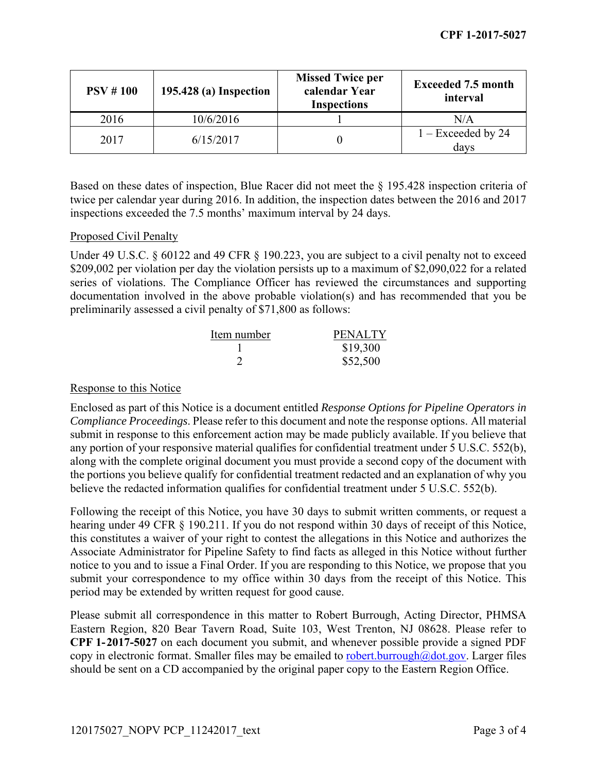| PSV # 100 | 195.428 (a) Inspection | <b>Missed Twice per</b><br>calendar Year<br><b>Inspections</b> | <b>Exceeded 7.5 month</b><br>interval |
|-----------|------------------------|----------------------------------------------------------------|---------------------------------------|
| 2016      | 10/6/2016              |                                                                | N/A                                   |
| 2017      | 6/15/2017              |                                                                | $1 -$ Exceeded by 24<br>davs          |

 Based on these dates of inspection, Blue Racer did not meet the § 195.428 inspection criteria of twice per calendar year during 2016. In addition, the inspection dates between the 2016 and 2017 inspections exceeded the 7.5 months' maximum interval by 24 days.

### Proposed Civil Penalty

Under 49 U.S.C. § 60122 and 49 CFR § 190.223, you are subject to a civil penalty not to exceed \$209,002 per violation per day the violation persists up to a maximum of \$2,090,022 for a related series of violations. The Compliance Officer has reviewed the circumstances and supporting documentation involved in the above probable violation(s) and has recommended that you be preliminarily assessed a civil penalty of \$71,800 as follows:

| Item number | <b>PENALTY</b> |
|-------------|----------------|
|             | \$19,300       |
|             | \$52,500       |

#### Response to this Notice

Enclosed as part of this Notice is a document entitled *Response Options for Pipeline Operators in Compliance Proceedings*. Please refer to this document and note the response options. All material submit in response to this enforcement action may be made publicly available. If you believe that any portion of your responsive material qualifies for confidential treatment under 5 U.S.C. 552(b), along with the complete original document you must provide a second copy of the document with the portions you believe qualify for confidential treatment redacted and an explanation of why you believe the redacted information qualifies for confidential treatment under 5 U.S.C. 552(b).

 hearing under 49 CFR § 190.211. If you do not respond within 30 days of receipt of this Notice, submit your correspondence to my office within 30 days from the receipt of this Notice. This Following the receipt of this Notice, you have 30 days to submit written comments, or request a this constitutes a waiver of your right to contest the allegations in this Notice and authorizes the Associate Administrator for Pipeline Safety to find facts as alleged in this Notice without further notice to you and to issue a Final Order. If you are responding to this Notice, we propose that you period may be extended by written request for good cause.

Please submit all correspondence in this matter to Robert Burrough, Acting Director, PHMSA Eastern Region, 820 Bear Tavern Road, Suite 103, West Trenton, NJ 08628. Please refer to **CPF 1-2017-5027** on each document you submit, and whenever possible provide a signed PDF copy in electronic format. Smaller files may be emailed to robert.burrough $@dot.gov$ . Larger files should be sent on a CD accompanied by the original paper copy to the Eastern Region Office.